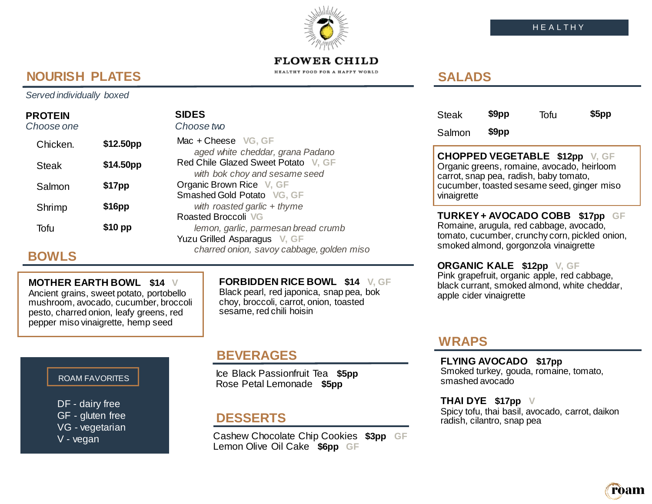# ròam

### **FLOWER CHILD**

HEALTHY FOOD FOR A HAPPY WORLD

# **NOURISH PLATES**

*Served individually boxed*

### **PROTEIN**

| Choose one   |                       | Choose two                                                           |  |  |
|--------------|-----------------------|----------------------------------------------------------------------|--|--|
| Chicken.     | \$12.50 <sub>pp</sub> | Mac + Cheese VG, GF<br>aged white cheddar, grana Padano              |  |  |
| <b>Steak</b> | \$14.50pp             | Red Chile Glazed Sweet Potato V, GF<br>with bok choy and sesame seed |  |  |
| Salmon       | \$17pp                | Organic Brown Rice V, GF<br>Smashed Gold Potato VG, GF               |  |  |
| Shrimp       | \$16pp                | with roasted garlic $+$ thyme<br>Roasted Broccoli VG                 |  |  |
| Tofu         | $$10$ pp              | lemon, garlic, parmesan bread crumb<br>Yuzu Grilled Asparagus V, GF  |  |  |

**SIDES**

# **BOWLS**

### **MOTHER EARTH BOWL \$14 V**

Ancient grains, sweet potato, portobello mushroom, avocado, cucumber, broccoli pesto, charred onion, leafy greens, red pepper miso vinaigrette, hemp seed

**FORBIDDEN RICE BOWL \$14 V, GF** Black pearl, red japonica, snap pea, bok choy, broccoli, carrot, onion, toasted sesame, red chili hoisin

### ROAM FAVORITES

DF - dairy free GF - gluten free VG - vegetarian V - vegan

Ice Black Passionfruit Tea **\$5pp** Rose Petal Lemonade **\$5pp** 

*charred onion, savoy cabbage, golden miso*

## **DESSERTS**

Cashew Chocolate Chip Cookies **\$3pp GF** Lemon Olive Oil Cake **\$6pp GF**

# **SALADS**

| <b>Steak</b> | \$9pp | Tofu | \$5pp |
|--------------|-------|------|-------|
| Salmon       | \$9pp |      |       |

**CHOPPED VEGETABLE \$12pp V, GF** Organic greens, romaine, avocado, heirloom carrot, snap pea, radish, baby tomato, cucumber, toasted sesame seed, ginger miso vinaigrette

**TURKEY + AVOCADO COBB \$17pp GF** Romaine, arugula, red cabbage, avocado, tomato, cucumber, crunchy corn, pickled onion, smoked almond, gorgonzola vinaigrette

**ORGANIC KALE \$12pp V, GF** Pink grapefruit, organic apple, red cabbage, black currant, smoked almond, white cheddar, apple cider vinaigrette

## **WRAPS**

**BEVERAGES FLYING AVOCADO \$17pp** Smoked turkey, gouda, romaine, tomato, smashed avocado

> **THAI DYE \$17pp V** Spicy tofu, thai basil, avocado, carrot, daikon radish, cilantro, snap pea